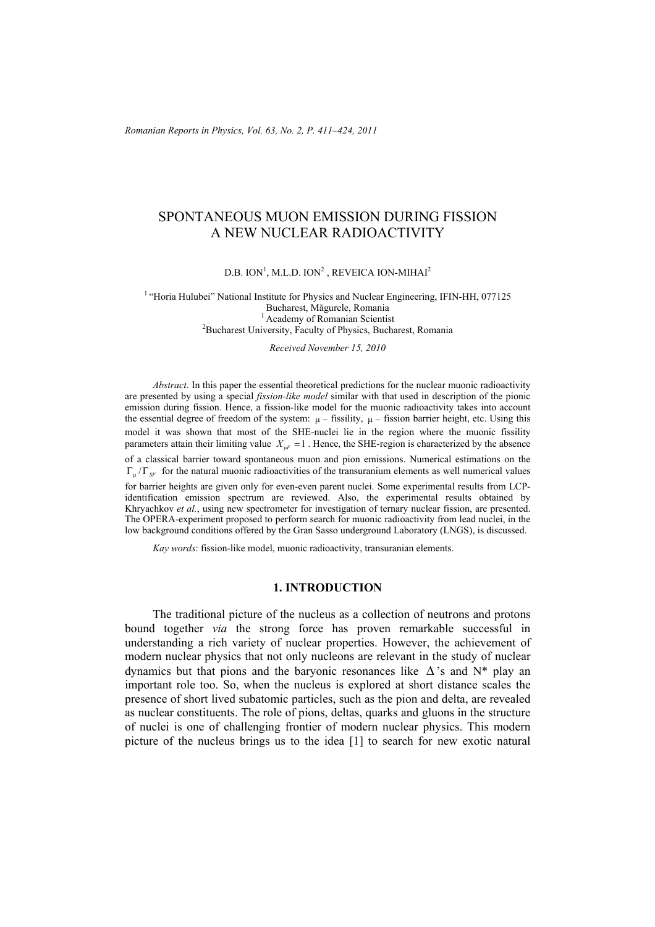*Romanian Reports in Physics, Vol. 63, No. 2, P. 411–424, 2011*

# SPONTANEOUS MUON EMISSION DURING FISSION A NEW NUCLEAR RADIOACTIVITY

D.B. ION<sup>1</sup>, M.L.D. ION<sup>2</sup>, REVEICA ION-MIHAI<sup>2</sup>

<sup>1</sup> "Horia Hulubei" National Institute for Physics and Nuclear Engineering, IFIN-HH, 077125 Bucharest, Măgurele, Romania <sup>1</sup> Academy of Romanian Scientist<sup>2</sup><br><sup>2</sup> Busharest University, Foculty of Physics, Busha <sup>2</sup>Bucharest University, Faculty of Physics, Bucharest, Romania

*Received November 15, 2010* 

*Abstract*. In this paper the essential theoretical predictions for the nuclear muonic radioactivity are presented by using a special *fission-like model* similar with that used in description of the pionic emission during fission. Hence, a fission-like model for the muonic radioactivity takes into account the essential degree of freedom of the system:  $\mu$  – fissility,  $\mu$  – fission barrier height, etc. Using this model it was shown that most of the SHE-nuclei lie in the region where the muonic fissility parameters attain their limiting value  $X_{\mu F} = 1$ . Hence, the SHE-region is characterized by the absence of a classical barrier toward spontaneous muon and pion emissions. Numerical estimations on the  $\Gamma_{\mu}/\Gamma_{SF}$  for the natural muonic radioactivities of the transuranium elements as well numerical values for barrier heights are given only for even-even parent nuclei. Some experimental results from LCPidentification emission spectrum are reviewed. Also, the experimental results obtained by Khryachkov *et al.*, using new spectrometer for investigation of ternary nuclear fission, are presented. The OPERA-experiment proposed to perform search for muonic radioactivity from lead nuclei, in the low background conditions offered by the Gran Sasso underground Laboratory (LNGS), is discussed.

*Kay words*: fission-like model, muonic radioactivity, transuranian elements.

### **1. INTRODUCTION**

The traditional picture of the nucleus as a collection of neutrons and protons bound together *via* the strong force has proven remarkable successful in understanding a rich variety of nuclear properties. However, the achievement of modern nuclear physics that not only nucleons are relevant in the study of nuclear dynamics but that pions and the baryonic resonances like  $\Delta$ 's and N\* play an important role too. So, when the nucleus is explored at short distance scales the presence of short lived subatomic particles, such as the pion and delta, are revealed as nuclear constituents. The role of pions, deltas, quarks and gluons in the structure of nuclei is one of challenging frontier of modern nuclear physics. This modern picture of the nucleus brings us to the idea [1] to search for new exotic natural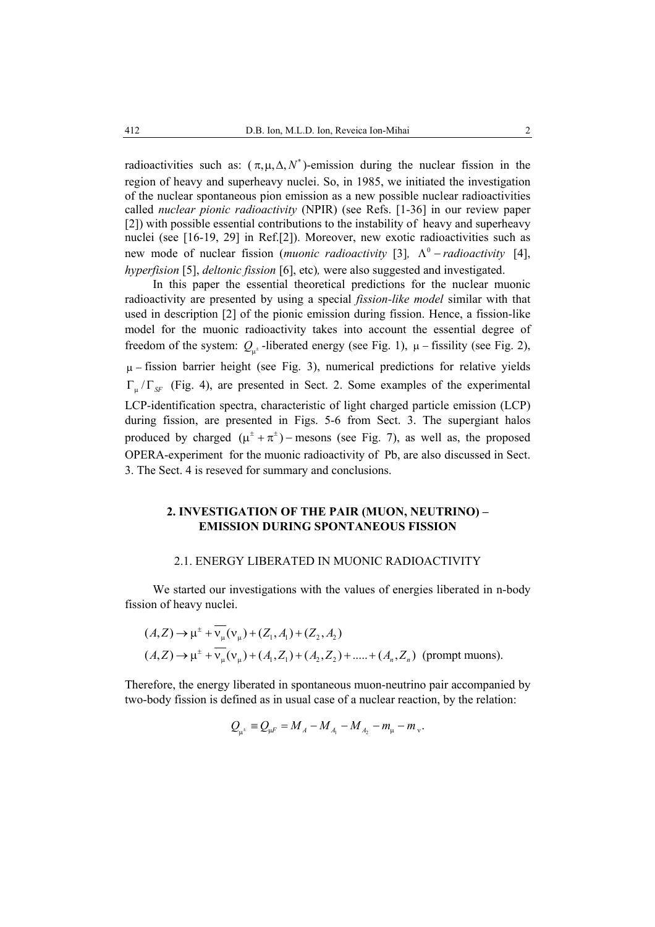radioactivities such as:  $(\pi, \mu, \Delta, N^*)$ -emission during the nuclear fission in the region of heavy and superheavy nuclei. So, in 1985, we initiated the investigation of the nuclear spontaneous pion emission as a new possible nuclear radioactivities called *nuclear pionic radioactivity* (NPIR) (see Refs. [1-36] in our review paper [2]) with possible essential contributions to the instability of heavy and superheavy nuclei (see [16-19, 29] in Ref.[2]). Moreover, new exotic radioactivities such as new mode of nuclear fission (*muonic radioactivity* [3],  $\Lambda^0$  – *radioactivity* [4], *hyperfision* [5], *deltonic fission* [6], etc)*,* were also suggested and investigated.

In this paper the essential theoretical predictions for the nuclear muonic radioactivity are presented by using a special *fission-like model* similar with that used in description [2] of the pionic emission during fission. Hence, a fission-like model for the muonic radioactivity takes into account the essential degree of freedom of the system:  $Q_{\mu^{\pm}}$ -liberated energy (see Fig. 1),  $\mu$  – fissility (see Fig. 2),  $\mu$  – fission barrier height (see Fig. 3), numerical predictions for relative yields  $\Gamma_{\rm u}/\Gamma_{\rm SF}$  (Fig. 4), are presented in Sect. 2. Some examples of the experimental LCP-identification spectra, characteristic of light charged particle emission (LCP) during fission, are presented in Figs. 5-6 from Sect. 3. The supergiant halos produced by charged  $(\mu^{\pm} + \pi^{\pm})$  – mesons (see Fig. 7), as well as, the proposed OPERA-experiment for the muonic radioactivity of Pb, are also discussed in Sect. 3. The Sect. 4 is reseved for summary and conclusions.

# **2. INVESTIGATION OF THE PAIR (MUON, NEUTRINO) – EMISSION DURING SPONTANEOUS FISSION**

#### 2.1. ENERGY LIBERATED IN MUONIC RADIOACTIVITY

We started our investigations with the values of energies liberated in n-body fission of heavy nuclei.

$$
(A,Z) \to \mu^{\pm} + \overline{v_{\mu}}(v_{\mu}) + (Z_1, A_1) + (Z_2, A_2)
$$
  

$$
(A,Z) \to \mu^{\pm} + \overline{v_{\mu}}(v_{\mu}) + (A_1, Z_1) + (A_2, Z_2) + \dots + (A_n, Z_n)
$$
 (prompt muons).

Therefore, the energy liberated in spontaneous muon-neutrino pair accompanied by two-body fission is defined as in usual case of a nuclear reaction, by the relation:

$$
Q_{\mu^{\pm}} = Q_{\mu F} = M_A - M_{A_1} - M_{A_2} - m_{\mu} - m_{\nu}.
$$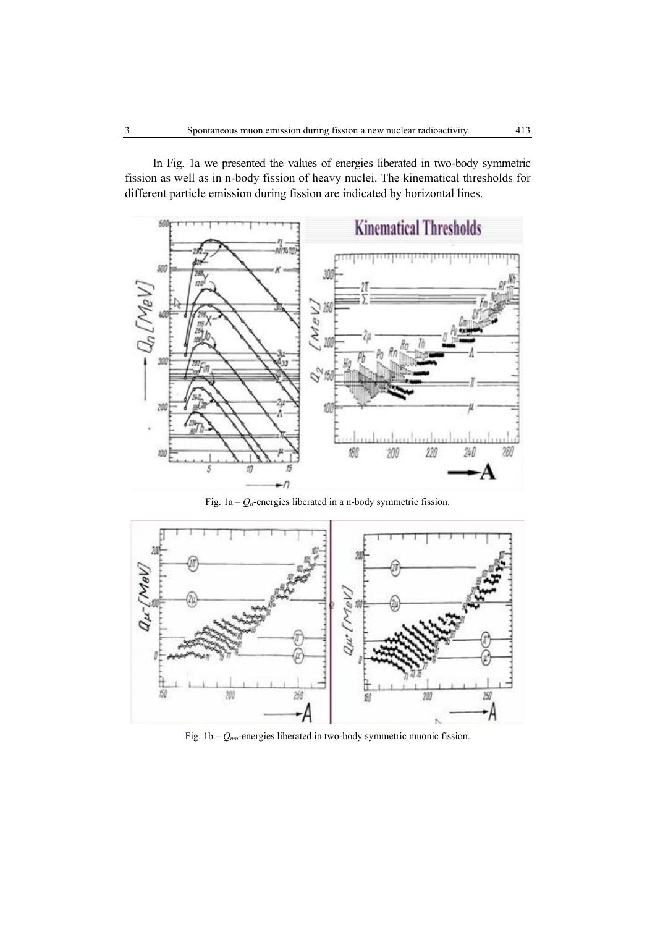

In Fig. 1a we presented the values of energies liberated in two-body symmetric fission as well as in n-body fission of heavy nuclei. The kinematical thresholds for different particle emission during fission are indicated by horizontal lines.

Fig.  $1a - Q_n$ -energies liberated in a n-body symmetric fission.



Fig. 1b – *Qmu*-energies liberated in two-body symmetric muonic fission.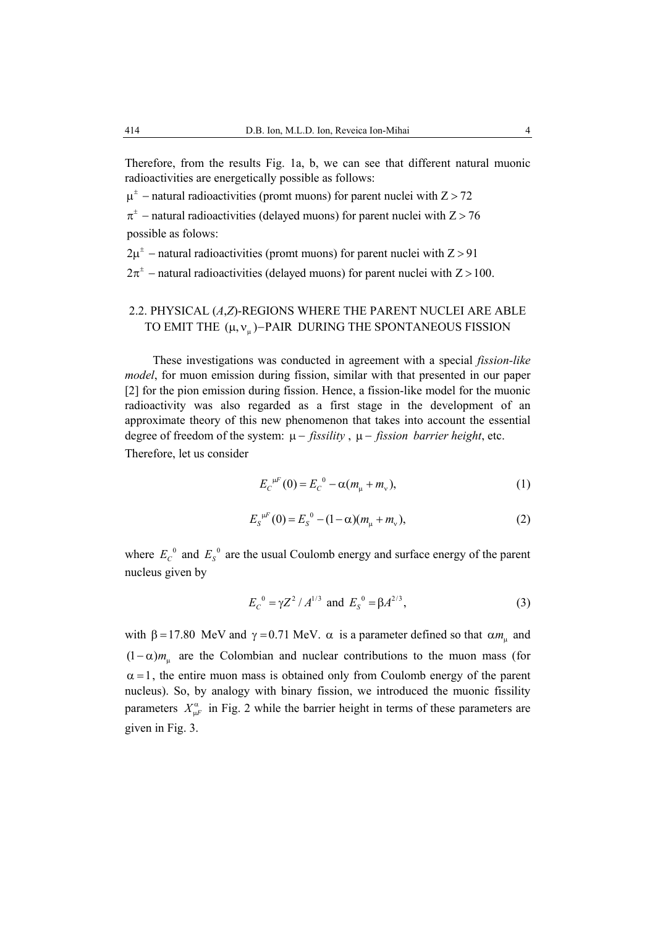Therefore, from the results Fig. 1a, b, we can see that different natural muonic radioactivities are energetically possible as follows:

 $\mu^{\pm}$  – natural radioactivities (promt muons) for parent nuclei with Z > 72

 $\pi^{\pm}$  – natural radioactivities (delayed muons) for parent nuclei with Z > 76 possible as folows:

 $2\mu^{\pm}$  – natural radioactivities (promt muons) for parent nuclei with  $Z > 91$ 

 $2\pi^{\pm}$  – natural radioactivities (delayed muons) for parent nuclei with Z > 100.

# 2.2. PHYSICAL (*A*,*Z*)-REGIONS WHERE THE PARENT NUCLEI ARE ABLE TO EMIT THE  $(\mu, v_{\mu})$ –PAIR DURING THE SPONTANEOUS FISSION

These investigations was conducted in agreement with a special *fission-like model*, for muon emission during fission, similar with that presented in our paper [2] for the pion emission during fission. Hence, a fission-like model for the muonic radioactivity was also regarded as a first stage in the development of an approximate theory of this new phenomenon that takes into account the essential degree of freedom of the system: µ − *fissility* , µ − *fission barrier height*, etc. Therefore, let us consider

$$
E_{C}^{\mu F}(0) = E_{C}^{\ 0} - \alpha (m_{\mu} + m_{\nu}), \tag{1}
$$

$$
E_{S}^{\mu F}(0) = E_{S}^{0} - (1 - \alpha)(m_{\mu} + m_{\nu}), \qquad (2)
$$

where  $E_C^0$  and  $E_S^0$  are the usual Coulomb energy and surface energy of the parent nucleus given by

$$
E_C^0 = \gamma Z^2 / A^{1/3}
$$
 and  $E_S^0 = \beta A^{2/3}$ , (3)

with β = 17.80 MeV and γ = 0.71 MeV.  $\alpha$  is a parameter defined so that  $\alpha m_\text{u}$  and  $(1 - \alpha) m_\mu$  are the Colombian and nuclear contributions to the muon mass (for  $\alpha = 1$ , the entire muon mass is obtained only from Coulomb energy of the parent nucleus). So, by analogy with binary fission, we introduced the muonic fissility parameters  $X^{\alpha}_{\mu}$  in Fig. 2 while the barrier height in terms of these parameters are given in Fig. 3.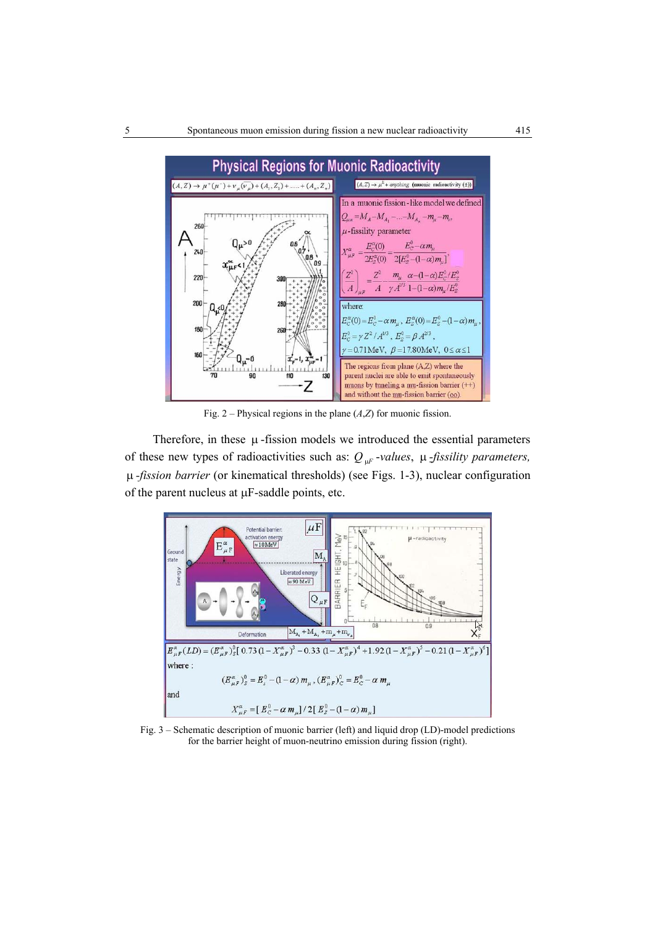

Fig. 2 – Physical regions in the plane (*A*,*Z*) for muonic fission.

Therefore, in these  $\mu$ -fission models we introduced the essential parameters of these new types of radioactivities such as:  $Q_{\mu F}$ -*values*,  $\mu$ -*fissility parameters,* µ *-fission barrier* (or kinematical thresholds) (see Figs. 1-3), nuclear configuration of the parent nucleus at µF-saddle points, etc.



Fig. 3 – Schematic description of muonic barrier (left) and liquid drop (LD)-model predictions for the barrier height of muon-neutrino emission during fission (right).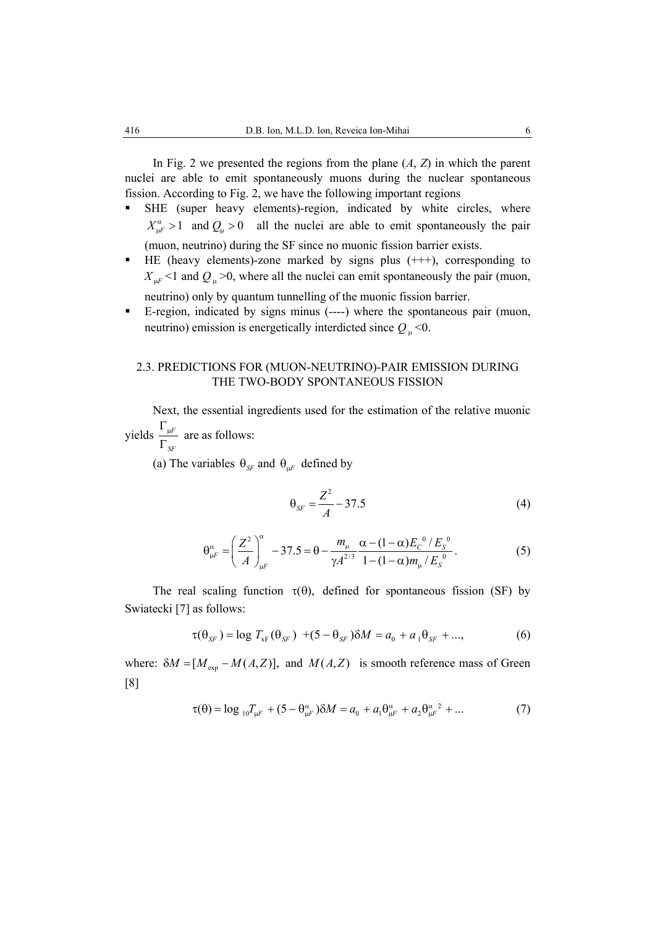In Fig. 2 we presented the regions from the plane (*A*, *Z*) in which the parent nuclei are able to emit spontaneously muons during the nuclear spontaneous fission. According to Fig. 2, we have the following important regions

- SHE (super heavy elements)-region, indicated by white circles, where  $X_{\mu}^{\alpha}$  > 1 and  $Q_{\mu}$  > 0 all the nuclei are able to emit spontaneously the pair (muon, neutrino) during the SF since no muonic fission barrier exists.
- HE (heavy elements)-zone marked by signs plus (+++), corresponding to  $X_{\mu F}$  <1 and  $Q_{\mu}$  >0, where all the nuclei can emit spontaneously the pair (muon, neutrino) only by quantum tunnelling of the muonic fission barrier.
- E-region, indicated by signs minus (----) where the spontaneous pair (muon, neutrino) emission is energetically interdicted since  $Q_{\mu}$  <0.

# 2.3. PREDICTIONS FOR (MUON-NEUTRINO)-PAIR EMISSION DURING THE TWO-BODY SPONTANEOUS FISSION

Next, the essential ingredients used for the estimation of the relative muonic yields  $\frac{1}{1}$ <sup> $\frac{\mu F}{2}$ </sup>  $Γ_{μ}$ are as follows:

*SF* Γ

(a) The variables  $\theta_{SF}$  and  $\theta_{IF}$  defined by

$$
\theta_{SF} = \frac{Z^2}{A} - 37.5\tag{4}
$$

$$
\theta_{\mu}^{\alpha} = \left(\frac{Z^2}{A}\right)_{\mu}^{\alpha} - 37.5 = \theta - \frac{m_{\mu}}{\gamma A^{2/3}} \frac{\alpha - (1 - \alpha)E_c^0 / E_s^0}{1 - (1 - \alpha)m_{\mu} / E_s^0}.
$$
 (5)

The real scaling function  $\tau(\theta)$ , defined for spontaneous fission (SF) by Swiatecki [7] as follows:

$$
\tau(\theta_{SF}) = \log T_{xF}(\theta_{SF}) + (5 - \theta_{SF})\delta M = a_0 + a_1\theta_{SF} + ..., \tag{6}
$$

where:  $\delta M = [M_{\text{exp}} - M(A, Z)]$ , and  $M(A, Z)$  is smooth reference mass of Green [8]

$$
\tau(\theta) = \log_{10} T_{\mu} + (5 - \theta_{\mu}^{\alpha}) \delta M = a_0 + a_1 \theta_{\mu}^{\alpha} + a_2 \theta_{\mu}^{\alpha}^2 + ... \tag{7}
$$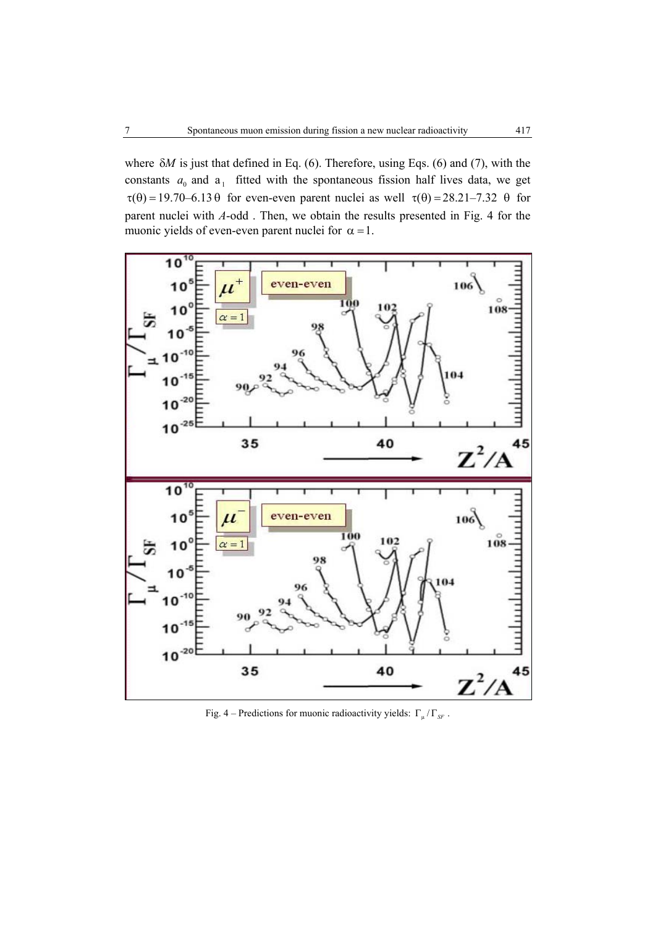where δ*M* is just that defined in Eq. (6). Therefore, using Eqs. (6) and (7), with the constants  $a_0$  and  $a_1$  fitted with the spontaneous fission half lives data, we get  $\tau(\theta) = 19.70 - 6.13 \theta$  for even-even parent nuclei as well  $\tau(\theta) = 28.21 - 7.32 \theta$  for parent nuclei with *A*-odd . Then, we obtain the results presented in Fig. 4 for the muonic yields of even-even parent nuclei for  $\alpha = 1$ .



Fig. 4 – Predictions for muonic radioactivity yields:  $\Gamma_{\mu}/\Gamma_{\text{SF}}$ .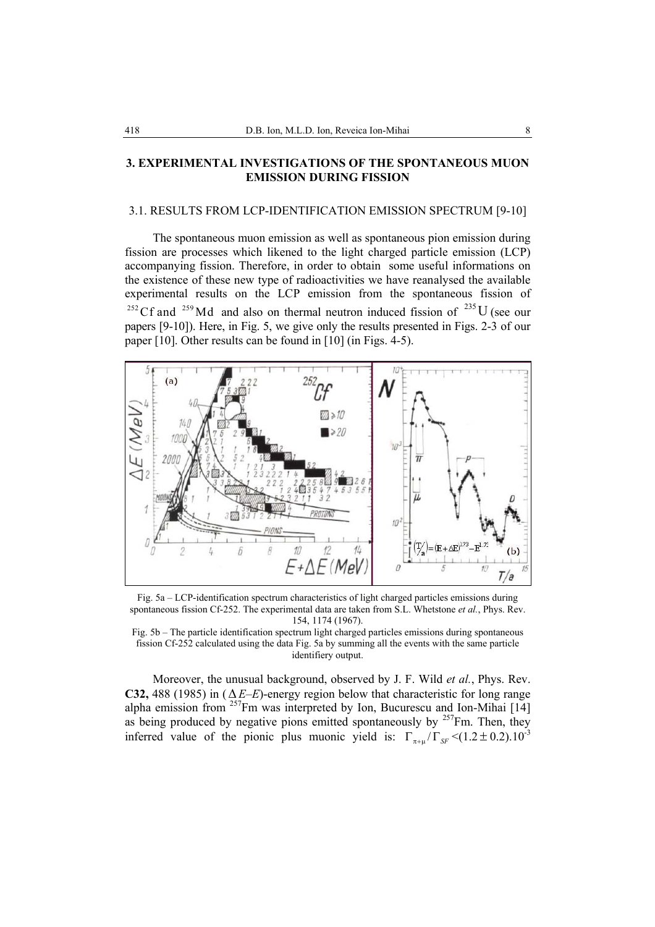### **3. EXPERIMENTAL INVESTIGATIONS OF THE SPONTANEOUS MUON EMISSION DURING FISSION**

#### 3.1. RESULTS FROM LCP-IDENTIFICATION EMISSION SPECTRUM [9-10]

The spontaneous muon emission as well as spontaneous pion emission during fission are processes which likened to the light charged particle emission (LCP) accompanying fission. Therefore, in order to obtain some useful informations on the existence of these new type of radioactivities we have reanalysed the available experimental results on the LCP emission from the spontaneous fission of <sup>252</sup> Cf and <sup>259</sup> Md and also on thermal neutron induced fission of <sup>235</sup>U (see our papers [9-10]). Here, in Fig. 5, we give only the results presented in Figs. 2-3 of our paper [10]. Other results can be found in [10] (in Figs. 4-5).



Fig. 5a – LCP-identification spectrum characteristics of light charged particles emissions during spontaneous fission Cf-252. The experimental data are taken from S.L. Whetstone *et al.*, Phys. Rev. 154, 1174 (1967).

Fig. 5b – The particle identification spectrum light charged particles emissions during spontaneous fission Cf-252 calculated using the data Fig. 5a by summing all the events with the same particle identifiery output.

Moreover, the unusual background, observed by J. F. Wild *et al.*, Phys. Rev. **C32,** 488 (1985) in (∆*E–E*)-energy region below that characteristic for long range alpha emission from  $257$ Fm was interpreted by Ion, Bucurescu and Ion-Mihai [14] as being produced by negative pions emitted spontaneously by  $257$ Fm. Then, they inferred value of the pionic plus muonic yield is:  $\Gamma_{\pi+\mu}/\Gamma_{SF} \leq (1.2 \pm 0.2).10^{-3}$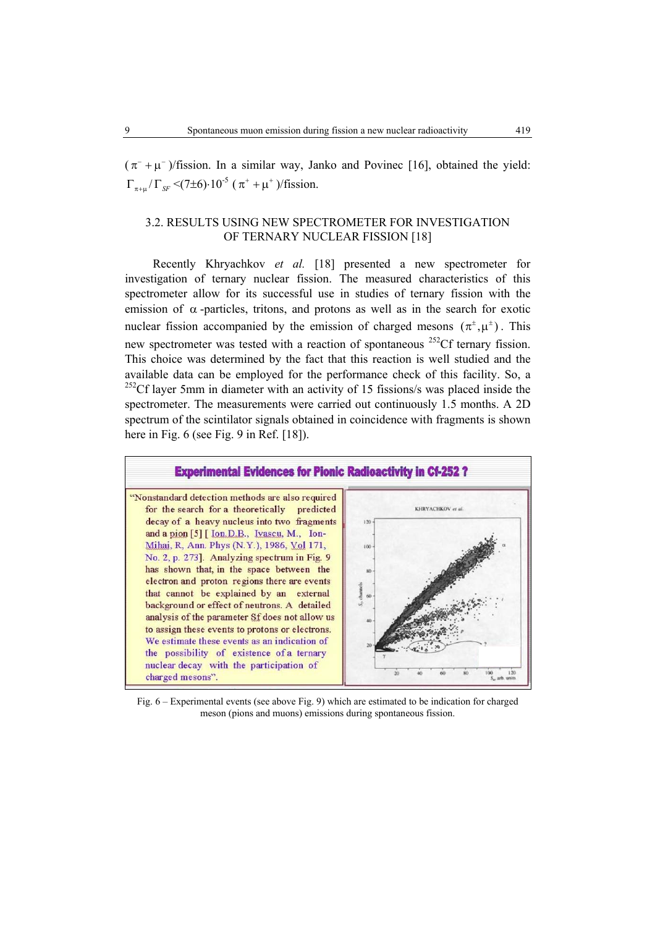$(\pi^{-} + \mu^{-})$ /fission. In a similar way, Janko and Povinec [16], obtained the yield:  $\Gamma_{\pi+\mu}/\Gamma_{SF}$  <(7±6) $\cdot 10^{-5}$  ( $\pi^+ + \mu^+$ )/fission.

# 3.2. RESULTS USING NEW SPECTROMETER FOR INVESTIGATION OF TERNARY NUCLEAR FISSION [18]

Recently Khryachkov *et al.* [18] presented a new spectrometer for investigation of ternary nuclear fission. The measured characteristics of this spectrometer allow for its successful use in studies of ternary fission with the emission of  $\alpha$ -particles, tritons, and protons as well as in the search for exotic nuclear fission accompanied by the emission of charged mesons  $(\pi^{\pm}, \mu^{\pm})$ . This new spectrometer was tested with a reaction of spontaneous <sup>252</sup>Cf ternary fission. This choice was determined by the fact that this reaction is well studied and the available data can be employed for the performance check of this facility. So, a  $252$ Cf layer 5mm in diameter with an activity of 15 fissions/s was placed inside the spectrometer. The measurements were carried out continuously 1.5 months. A 2D spectrum of the scintilator signals obtained in coincidence with fragments is shown here in Fig. 6 (see Fig. 9 in Ref. [18]).



Fig. 6 – Experimental events (see above Fig. 9) which are estimated to be indication for charged meson (pions and muons) emissions during spontaneous fission.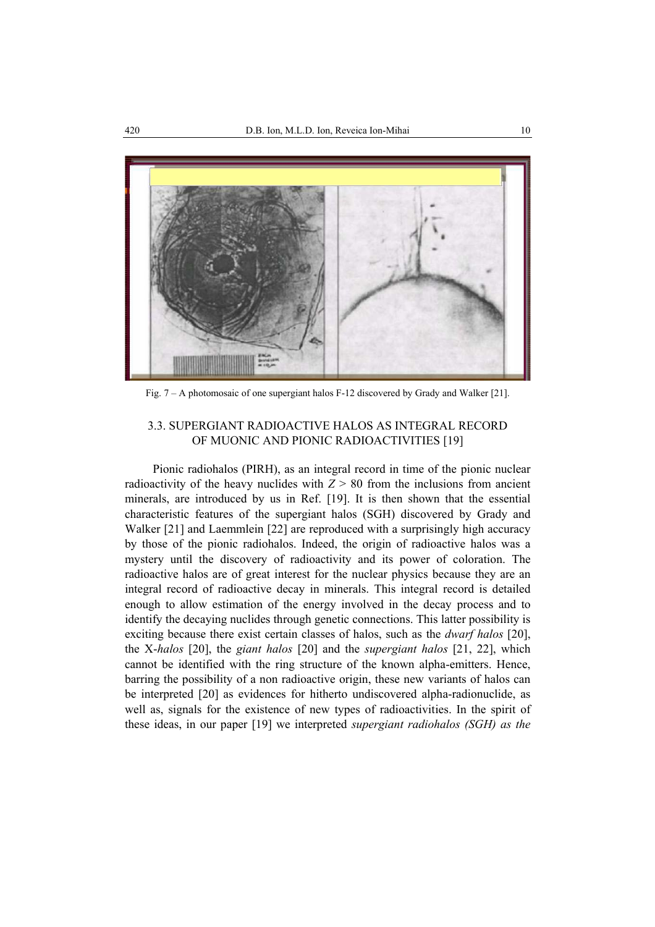

Fig. 7 – A photomosaic of one supergiant halos F-12 discovered by Grady and Walker [21].

# 3.3. SUPERGIANT RADIOACTIVE HALOS AS INTEGRAL RECORD OF MUONIC AND PIONIC RADIOACTIVITIES [19]

Pionic radiohalos (PIRH), as an integral record in time of the pionic nuclear radioactivity of the heavy nuclides with  $Z > 80$  from the inclusions from ancient minerals, are introduced by us in Ref. [19]. It is then shown that the essential characteristic features of the supergiant halos (SGH) discovered by Grady and Walker [21] and Laemmlein [22] are reproduced with a surprisingly high accuracy by those of the pionic radiohalos. Indeed, the origin of radioactive halos was a mystery until the discovery of radioactivity and its power of coloration. The radioactive halos are of great interest for the nuclear physics because they are an integral record of radioactive decay in minerals. This integral record is detailed enough to allow estimation of the energy involved in the decay process and to identify the decaying nuclides through genetic connections. This latter possibility is exciting because there exist certain classes of halos, such as the *dwarf halos* [20], the X-*halos* [20], the *giant halos* [20] and the *supergiant halos* [21, 22], which cannot be identified with the ring structure of the known alpha-emitters. Hence, barring the possibility of a non radioactive origin, these new variants of halos can be interpreted [20] as evidences for hitherto undiscovered alpha-radionuclide, as well as, signals for the existence of new types of radioactivities. In the spirit of these ideas, in our paper [19] we interpreted *supergiant radiohalos (SGH) as the*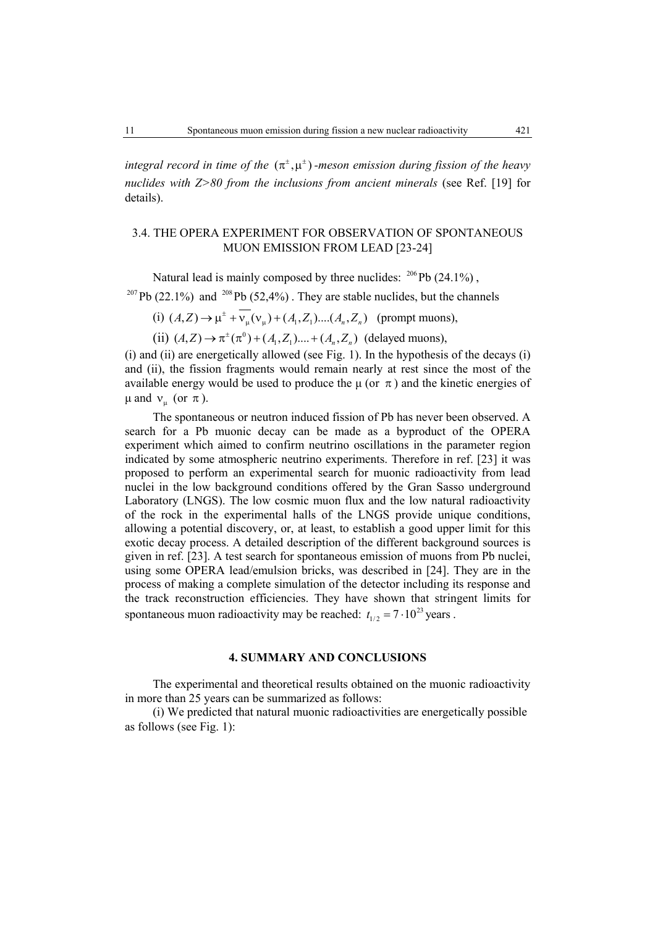*integral record in time of the*  $(\pi^{\pm}, \mu^{\pm})$  *-meson emission during fission of the heavy nuclides with Z>80 from the inclusions from ancient minerals* (see Ref. [19] for details).

# 3.4. THE OPERA EXPERIMENT FOR OBSERVATION OF SPONTANEOUS MUON EMISSION FROM LEAD [23-24]

Natural lead is mainly composed by three nuclides:  $^{206}$ Pb (24.1%), <sup>207</sup>Pb (22.1%) and <sup>208</sup>Pb (52.4%). They are stable nuclides, but the channels

(i)  $(A, Z) \to \mu^{\pm} + \overline{v_{\mu}}(v_{\mu}) + (A_1, Z_1) \dots (A_n, Z_n)$  (prompt muons),

(ii)  $(A,Z) \to \pi^{\pm}(\pi^0) + (A_1, Z_1) \dots + (A_n, Z_n)$  (delayed muons),

(i) and (ii) are energetically allowed (see Fig. 1). In the hypothesis of the decays (i) and (ii), the fission fragments would remain nearly at rest since the most of the available energy would be used to produce the  $\mu$  (or  $\pi$ ) and the kinetic energies of  $\mu$  and  $v_{\mu}$  (or π).

The spontaneous or neutron induced fission of Pb has never been observed. A search for a Pb muonic decay can be made as a byproduct of the OPERA experiment which aimed to confirm neutrino oscillations in the parameter region indicated by some atmospheric neutrino experiments. Therefore in ref. [23] it was proposed to perform an experimental search for muonic radioactivity from lead nuclei in the low background conditions offered by the Gran Sasso underground Laboratory (LNGS). The low cosmic muon flux and the low natural radioactivity of the rock in the experimental halls of the LNGS provide unique conditions, allowing a potential discovery, or, at least, to establish a good upper limit for this exotic decay process. A detailed description of the different background sources is given in ref. [23]. A test search for spontaneous emission of muons from Pb nuclei, using some OPERA lead/emulsion bricks, was described in [24]. They are in the process of making a complete simulation of the detector including its response and the track reconstruction efficiencies. They have shown that stringent limits for spontaneous muon radioactivity may be reached:  $t_{1/2} = 7 \cdot 10^{23}$  years.

### **4. SUMMARY AND CONCLUSIONS**

The experimental and theoretical results obtained on the muonic radioactivity in more than 25 years can be summarized as follows:

(i) We predicted that natural muonic radioactivities are energetically possible as follows (see Fig. 1):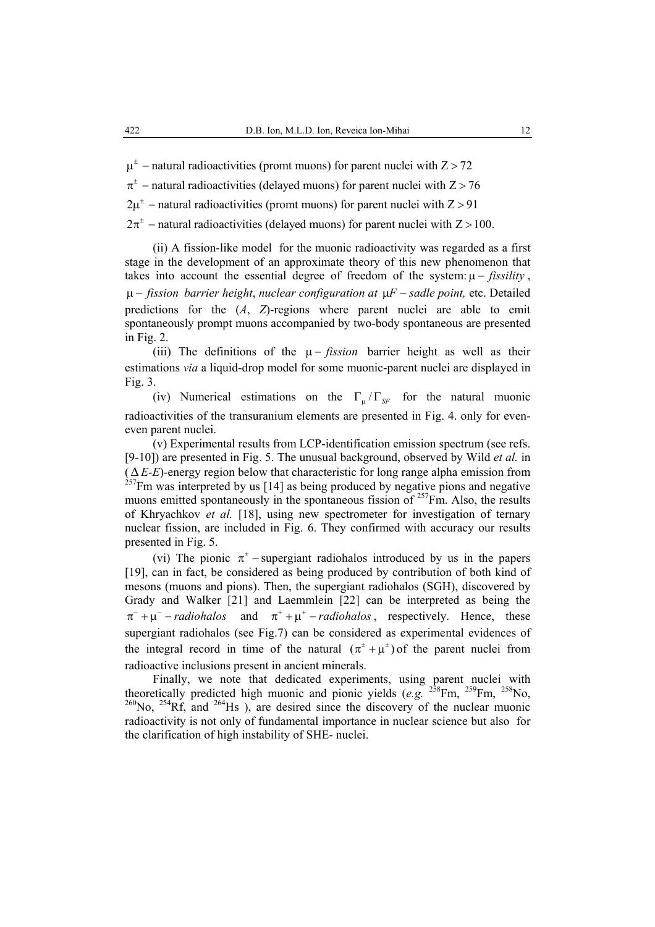$\mu^{\pm}$  – natural radioactivities (promt muons) for parent nuclei with Z > 72

 $\pi^{\pm}$  – natural radioactivities (delayed muons) for parent nuclei with Z > 76

 $2\mu^{\pm}$  – natural radioactivities (promt muons) for parent nuclei with  $Z > 91$ 

 $2\pi^{\pm}$  – natural radioactivities (delayed muons) for parent nuclei with Z > 100.

(ii) A fission-like model for the muonic radioactivity was regarded as a first stage in the development of an approximate theory of this new phenomenon that takes into account the essential degree of freedom of the system:  $\mu$  – *fissility*, µ − *fission barrier height*, *nuclear configuration at* µ*F* − *sadle point,* etc. Detailed predictions for the (*A*, *Z*)-regions where parent nuclei are able to emit spontaneously prompt muons accompanied by two-body spontaneous are presented in Fig. 2.

(iii) The definitions of the  $\mu$  – *fission* barrier height as well as their estimations *via* a liquid-drop model for some muonic-parent nuclei are displayed in Fig. 3.

(iv) Numerical estimations on the  $\Gamma_{\text{u}}/\Gamma_{\text{SF}}$  for the natural muonic radioactivities of the transuranium elements are presented in Fig. 4. only for eveneven parent nuclei.

(v) Experimental results from LCP-identification emission spectrum (see refs. [9-10]) are presented in Fig. 5. The unusual background, observed by Wild *et al.* in (∆ *E*-*E*)-energy region below that characteristic for long range alpha emission from  $^{257}$ Fm was interpreted by us [14] as being produced by negative pions and negative muons emitted spontaneously in the spontaneous fission of  $257$  Fm. Also, the results of Khryachkov *et al.* [18], using new spectrometer for investigation of ternary nuclear fission, are included in Fig. 6. They confirmed with accuracy our results presented in Fig. 5.

(vi) The pionic  $\pi^{\pm}$  – supergiant radiohalos introduced by us in the papers [19], can in fact, be considered as being produced by contribution of both kind of mesons (muons and pions). Then, the supergiant radiohalos (SGH), discovered by Grady and Walker [21] and Laemmlein [22] can be interpreted as being the  $\pi^{-} + \mu^{-}$  − *radiohalos* and  $\pi^{+} + \mu^{+}$  − *radiohalos*, respectively. Hence, these supergiant radiohalos (see Fig.7) can be considered as experimental evidences of the integral record in time of the natural  $(\pi^{\pm} + \mu^{\pm})$  of the parent nuclei from radioactive inclusions present in ancient minerals.

Finally, we note that dedicated experiments, using parent nuclei with theoretically predicted high muonic and pionic yields  $(e.g.$  <sup>258</sup>Fm, <sup>259</sup>Fm, <sup>258</sup>No,  $^{260}$ No,  $^{254}$ Rf, and  $^{264}$ Hs), are desired since the discovery of the nuclear muonic radioactivity is not only of fundamental importance in nuclear science but also for the clarification of high instability of SHE- nuclei.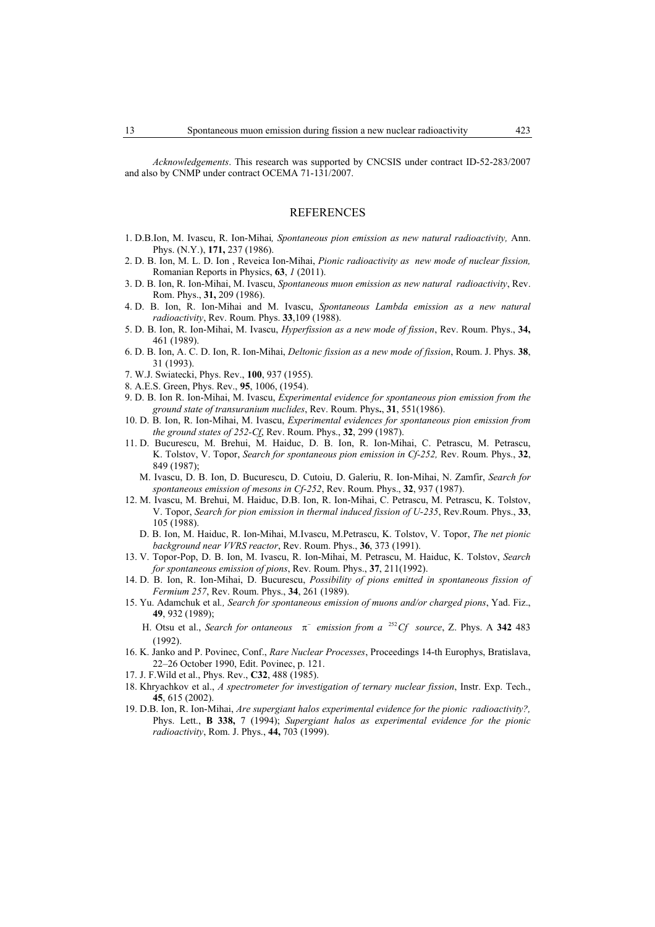*Acknowledgements*. This research was supported by CNCSIS under contract ID-52-283/2007 and also by CNMP under contract OCEMA 71-131/2007.

#### REFERENCES

- 1. D.B.Ion, M. Ivascu, R. Ion-Mihai*, Spontaneous pion emission as new natural radioactivity,* Ann. Phys. (N.Y.), **171,** 237 (1986).
- 2. D. B. Ion, M. L. D. Ion , Reveica Ion-Mihai, *Pionic radioactivity as new mode of nuclear fission,*  Romanian Reports in Physics, **63**, *1* (2011).
- 3. D. B. Ion, R. Ion-Mihai, M. Ivascu, *Spontaneous muon emission as new natural radioactivity*, Rev. Rom. Phys., **31,** 209 (1986).
- 4. D. B. Ion, R. Ion-Mihai and M. Ivascu, *Spontaneous Lambda emission as a new natural radioactivity*, Rev. Roum. Phys. **33**,109 (1988).
- 5. D. B. Ion, R. Ion-Mihai, M. Ivascu, *Hyperfission as a new mode of fission*, Rev. Roum. Phys., **34,** 461 (1989).
- 6. D. B. Ion, A. C. D. Ion, R. Ion-Mihai, *Deltonic fission as a new mode of fission*, Roum. J. Phys. **38**, 31 (1993).
- 7. W.J. Swiatecki, Phys. Rev., **100**, 937 (1955).
- 8. A.E.S. Green, Phys. Rev., **95**, 1006, (1954).
- 9. D. B. Ion R. Ion-Mihai, M. Ivascu, *Experimental evidence for spontaneous pion emission from the ground state of transuranium nuclides*, Rev. Roum. Phys**.**, **31**, 551(1986).
- 10. D. B. Ion, R. Ion-Mihai, M. Ivascu, *Experimental evidences for spontaneous pion emission from the ground states of 252-Cf*, Rev. Roum. Phys., **32**, 299 (1987).
- 11. D. Bucurescu, M. Brehui, M. Haiduc, D. B. Ion, R. Ion-Mihai, C. Petrascu, M. Petrascu, K. Tolstov, V. Topor, *Search for spontaneous pion emission in Cf-252,* Rev. Roum. Phys., **32**, 849 (1987);
	- M. Ivascu, D. B. Ion, D. Bucurescu, D. Cutoiu, D. Galeriu, R. Ion-Mihai, N. Zamfir, *Search for spontaneous emission of mesons in Cf-252*, Rev. Roum. Phys., **32**, 937 (1987).
- 12. M. Ivascu, M. Brehui, M. Haiduc, D.B. Ion, R. Ion-Mihai, C. Petrascu, M. Petrascu, K. Tolstov, V. Topor, *Search for pion emission in thermal induced fission of U-235*, Rev.Roum. Phys., **33**, 105 (1988).
- D. B. Ion, M. Haiduc, R. Ion-Mihai, M.Ivascu, M.Petrascu, K. Tolstov, V. Topor, *The net pionic background near VVRS reactor*, Rev. Roum. Phys., **36**, 373 (1991).
- 13. V. Topor-Pop, D. B. Ion, M. Ivascu, R. Ion-Mihai, M. Petrascu, M. Haiduc, K. Tolstov, *Search for spontaneous emission of pions*, Rev. Roum. Phys., **37**, 211(1992).
- 14. D. B. Ion, R. Ion-Mihai, D. Bucurescu, *Possibility of pions emitted in spontaneous fission of Fermium 257*, Rev. Roum. Phys., **34**, 261 (1989).
- 15. Yu. Adamchuk et al*., Search for spontaneous emission of muons and/or charged pions*, Yad. Fiz., **49**, 932 (1989);
	- H. Otsu et al., *Search for ontaneous*  $\pi^-$  *emission from a* <sup>252</sup>*Cf source*, Z. Phys. A 342 483  $(1992)$
- 16. K. Janko and P. Povinec, Conf., *Rare Nuclear Processes*, Proceedings 14-th Europhys, Bratislava, 22–26 October 1990, Edit. Povinec, p. 121.
- 17. J. F.Wild et al., Phys. Rev., **C32**, 488 (1985).
- 18. Khryachkov et al., *A spectrometer for investigation of ternary nuclear fission*, Instr. Exp. Tech., **45**, 615 (2002).
- 19. D.B. Ion, R. Ion-Mihai, *Are supergiant halos experimental evidence for the pionic radioactivity?,*  Phys. Lett., **B 338,** 7 (1994); *Supergiant halos as experimental evidence for the pionic radioactivity*, Rom. J. Phys., **44,** 703 (1999).